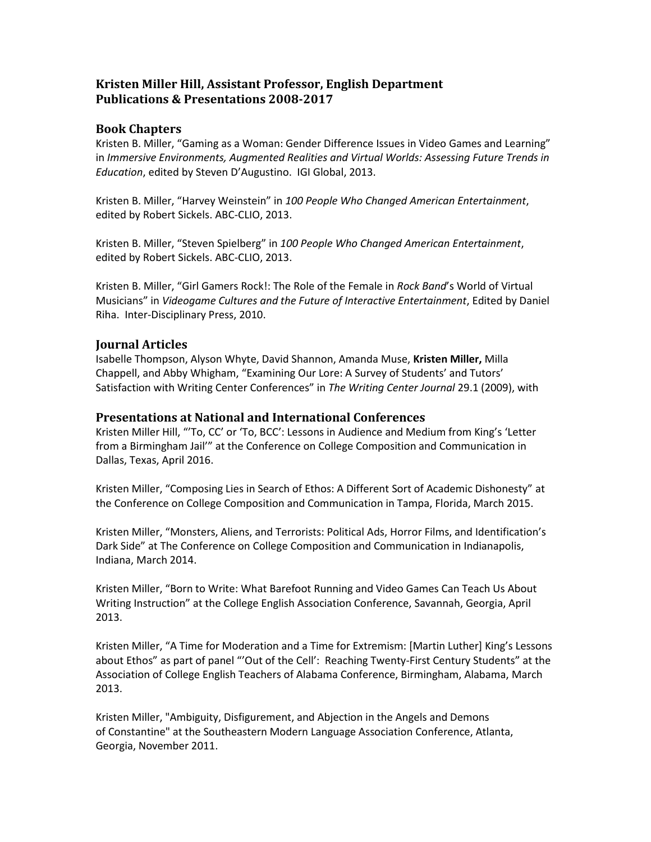## **Kristen Miller Hill, Assistant Professor, English Department Publications & Presentations 2008-2017**

## **Book Chapters**

Kristen B. Miller, "Gaming as a Woman: Gender Difference Issues in Video Games and Learning" in *Immersive Environments, Augmented Realities and Virtual Worlds: Assessing Future Trends in Education*, edited by Steven D'Augustino. IGI Global, 2013.

Kristen B. Miller, "Harvey Weinstein" in *100 People Who Changed American Entertainment*, edited by Robert Sickels. ABC-CLIO, 2013.

Kristen B. Miller, "Steven Spielberg" in *100 People Who Changed American Entertainment*, edited by Robert Sickels. ABC-CLIO, 2013.

Kristen B. Miller, "Girl Gamers Rock!: The Role of the Female in *Rock Band*'s World of Virtual Musicians" in *Videogame Cultures and the Future of Interactive Entertainment*, Edited by Daniel Riha. Inter-Disciplinary Press, 2010.

## **Journal Articles**

Isabelle Thompson, Alyson Whyte, David Shannon, Amanda Muse, **Kristen Miller,** Milla Chappell, and Abby Whigham, "Examining Our Lore: A Survey of Students' and Tutors' Satisfaction with Writing Center Conferences" in *The Writing Center Journal* 29.1 (2009), with

## **Presentations at National and International Conferences**

Kristen Miller Hill, "'To, CC' or 'To, BCC': Lessons in Audience and Medium from King's 'Letter from a Birmingham Jail'" at the Conference on College Composition and Communication in Dallas, Texas, April 2016.

Kristen Miller, "Composing Lies in Search of Ethos: A Different Sort of Academic Dishonesty" at the Conference on College Composition and Communication in Tampa, Florida, March 2015.

Kristen Miller, "Monsters, Aliens, and Terrorists: Political Ads, Horror Films, and Identification's Dark Side" at The Conference on College Composition and Communication in Indianapolis, Indiana, March 2014.

Kristen Miller, "Born to Write: What Barefoot Running and Video Games Can Teach Us About Writing Instruction" at the College English Association Conference, Savannah, Georgia, April 2013.

Kristen Miller, "A Time for Moderation and a Time for Extremism: [Martin Luther] King's Lessons about Ethos" as part of panel "'Out of the Cell': Reaching Twenty-First Century Students" at the Association of College English Teachers of Alabama Conference, Birmingham, Alabama, March 2013.

Kristen Miller, "Ambiguity, Disfigurement, and Abjection in the Angels and Demons of Constantine" at the Southeastern Modern Language Association Conference, Atlanta, Georgia, November 2011.